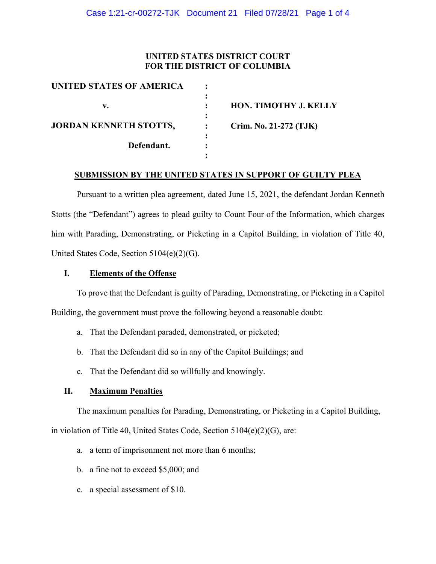# **UNITED STATES DISTRICT COURT FOR THE DISTRICT OF COLUMBIA**

| UNITED STATES OF AMERICA      |                        |
|-------------------------------|------------------------|
| v.                            | HON. TIMOTHY J. KELLY  |
| <b>JORDAN KENNETH STOTTS,</b> | Crim. No. 21-272 (TJK) |
| Defendant.                    |                        |
|                               |                        |

#### **SUBMISSION BY THE UNITED STATES IN SUPPORT OF GUILTY PLEA**

Pursuant to a written plea agreement, dated June 15, 2021, the defendant Jordan Kenneth Stotts (the "Defendant") agrees to plead guilty to Count Four of the Information, which charges him with Parading, Demonstrating, or Picketing in a Capitol Building, in violation of Title 40, United States Code, Section 5104(e)(2)(G).

### **I. Elements of the Offense**

To prove that the Defendant is guilty of Parading, Demonstrating, or Picketing in a Capitol Building, the government must prove the following beyond a reasonable doubt:

- a. That the Defendant paraded, demonstrated, or picketed;
- b. That the Defendant did so in any of the Capitol Buildings; and
- c. That the Defendant did so willfully and knowingly.

## **II. Maximum Penalties**

The maximum penalties for Parading, Demonstrating, or Picketing in a Capitol Building,

in violation of Title 40, United States Code, Section 5104(e)(2)(G), are:

- a. a term of imprisonment not more than 6 months;
- b. a fine not to exceed \$5,000; and
- c. a special assessment of \$10.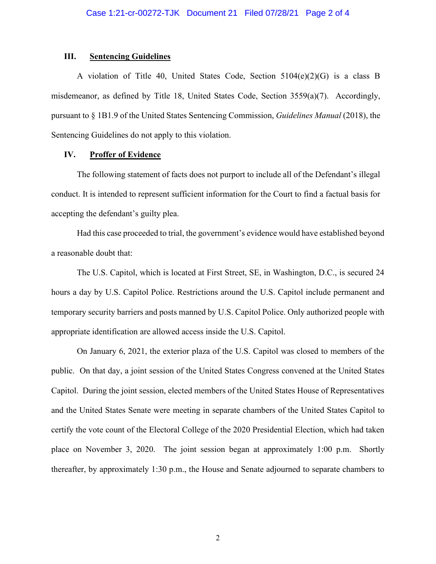#### **III. Sentencing Guidelines**

A violation of Title 40, United States Code, Section 5104(e)(2)(G) is a class B misdemeanor, as defined by Title 18, United States Code, Section 3559(a)(7). Accordingly, pursuant to § 1B1.9 of the United States Sentencing Commission, *Guidelines Manual* (2018), the Sentencing Guidelines do not apply to this violation.

### **IV. Proffer of Evidence**

The following statement of facts does not purport to include all of the Defendant's illegal conduct. It is intended to represent sufficient information for the Court to find a factual basis for accepting the defendant's guilty plea.

Had this case proceeded to trial, the government's evidence would have established beyond a reasonable doubt that:

The U.S. Capitol, which is located at First Street, SE, in Washington, D.C., is secured 24 hours a day by U.S. Capitol Police. Restrictions around the U.S. Capitol include permanent and temporary security barriers and posts manned by U.S. Capitol Police. Only authorized people with appropriate identification are allowed access inside the U.S. Capitol.

On January 6, 2021, the exterior plaza of the U.S. Capitol was closed to members of the public. On that day, a joint session of the United States Congress convened at the United States Capitol. During the joint session, elected members of the United States House of Representatives and the United States Senate were meeting in separate chambers of the United States Capitol to certify the vote count of the Electoral College of the 2020 Presidential Election, which had taken place on November 3, 2020. The joint session began at approximately 1:00 p.m. Shortly thereafter, by approximately 1:30 p.m., the House and Senate adjourned to separate chambers to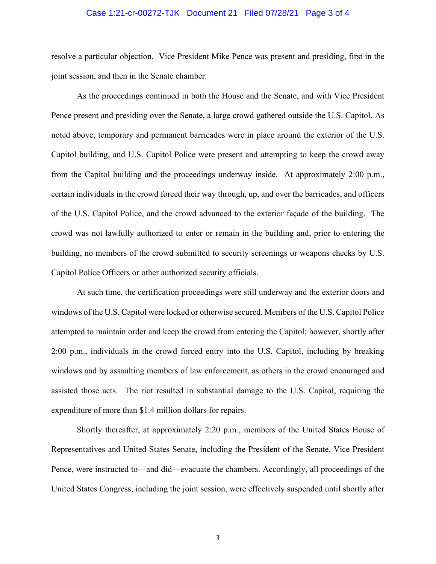#### Case 1:21-cr-00272-TJK Document 21 Filed 07/28/21 Page 3 of 4

resolve a particular objection. Vice President Mike Pence was present and presiding, first in the joint session, and then in the Senate chamber.

As the proceedings continued in both the House and the Senate, and with Vice President Pence present and presiding over the Senate, a large crowd gathered outside the U.S. Capitol. As noted above, temporary and permanent barricades were in place around the exterior of the U.S. Capitol building, and U.S. Capitol Police were present and attempting to keep the crowd away from the Capitol building and the proceedings underway inside. At approximately 2:00 p.m., certain individuals in the crowd forced their way through, up, and over the barricades, and officers of the U.S. Capitol Police, and the crowd advanced to the exterior façade of the building. The crowd was not lawfully authorized to enter or remain in the building and, prior to entering the building, no members of the crowd submitted to security screenings or weapons checks by U.S. Capitol Police Officers or other authorized security officials.

At such time, the certification proceedings were still underway and the exterior doors and windows of the U.S. Capitol were locked or otherwise secured. Members of the U.S. Capitol Police attempted to maintain order and keep the crowd from entering the Capitol; however, shortly after 2:00 p.m., individuals in the crowd forced entry into the U.S. Capitol, including by breaking windows and by assaulting members of law enforcement, as others in the crowd encouraged and assisted those acts. The riot resulted in substantial damage to the U.S. Capitol, requiring the expenditure of more than \$1.4 million dollars for repairs.

Shortly thereafter, at approximately 2:20 p.m., members of the United States House of Representatives and United States Senate, including the President of the Senate, Vice President Pence, were instructed to—and did—evacuate the chambers. Accordingly, all proceedings of the United States Congress, including the joint session, were effectively suspended until shortly after